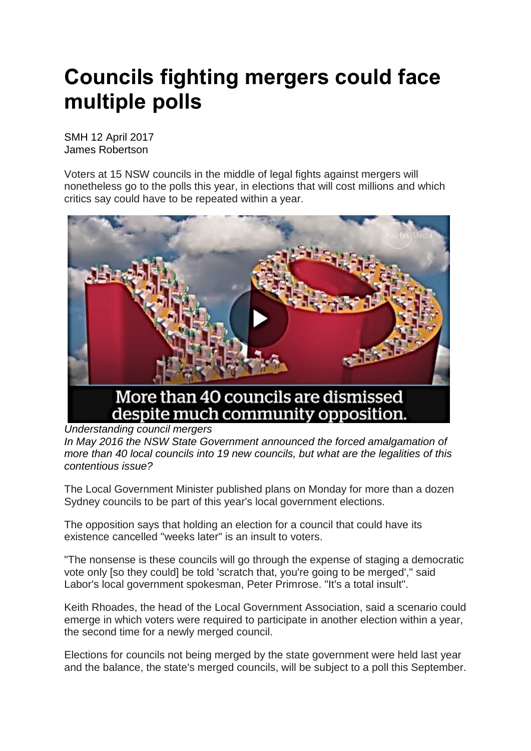## **Councils fighting mergers could face multiple polls**

SMH 12 April 2017 James Robertson

Voters at 15 NSW councils in the middle of legal fights against mergers will nonetheless go to the polls this year, in elections that will cost millions and which critics say could have to be repeated within a year.



*Understanding council mergers*

*In May 2016 the NSW State Government announced the forced amalgamation of more than 40 local councils into 19 new councils, but what are the legalities of this contentious issue?*

The Local Government Minister published plans on Monday for more than a dozen Sydney councils to be part of this year's local government elections.

The opposition says that holding an election for a council that could have its existence cancelled "weeks later" is an insult to voters.

"The nonsense is these councils will go through the expense of staging a democratic vote only [so they could] be told 'scratch that, you're going to be merged'," said Labor's local government spokesman, Peter Primrose. "It's a total insult".

Keith Rhoades, the head of the Local Government Association, said a scenario could emerge in which voters were required to participate in another election within a year, the second time for a newly merged council.

Elections for councils not being merged by the state government were held last year and the balance, the state's merged councils, will be subject to a poll this September.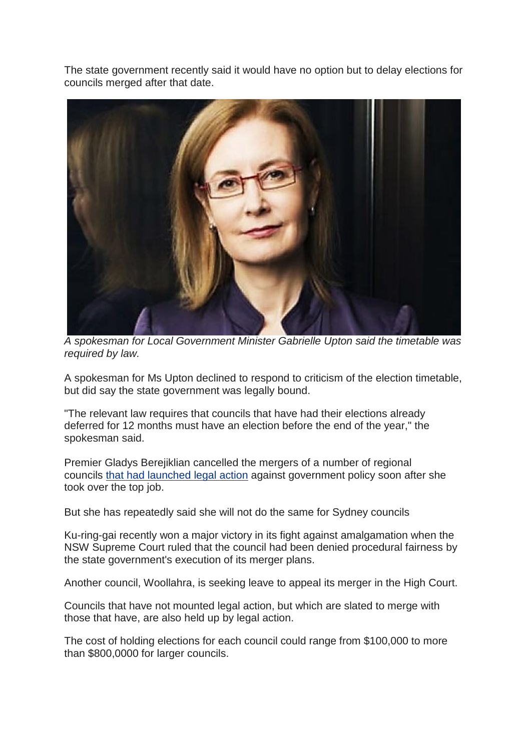The state government recently said it would have no option but to delay elections for councils merged after that date.



*A spokesman for Local Government Minister Gabrielle Upton said the timetable was required by law.* 

A spokesman for Ms Upton declined to respond to criticism of the election timetable, but did say the state government was legally bound.

"The relevant law requires that councils that have had their elections already deferred for 12 months must have an election before the end of the year," the spokesman said.

Premier Gladys Berejiklian cancelled the mergers of a number of regional councils that had [launched](http://www.smh.com.au/nsw/berejiklian-government-stays-course-on-sydney-council-mergers-but-relents-on-regions-20170213-gubt1a.html) legal action against government policy soon after she took over the top job.

But she has repeatedly said she will not do the same for Sydney councils

Ku-ring-gai recently won a major victory in its fight against amalgamation when the NSW Supreme Court ruled that the council had been denied procedural fairness by the state government's execution of its merger plans.

Another council, Woollahra, is seeking leave to appeal its merger in the High Court.

Councils that have not mounted legal action, but which are slated to merge with those that have, are also held up by legal action.

The cost of holding elections for each council could range from \$100,000 to more than \$800,0000 for larger councils.